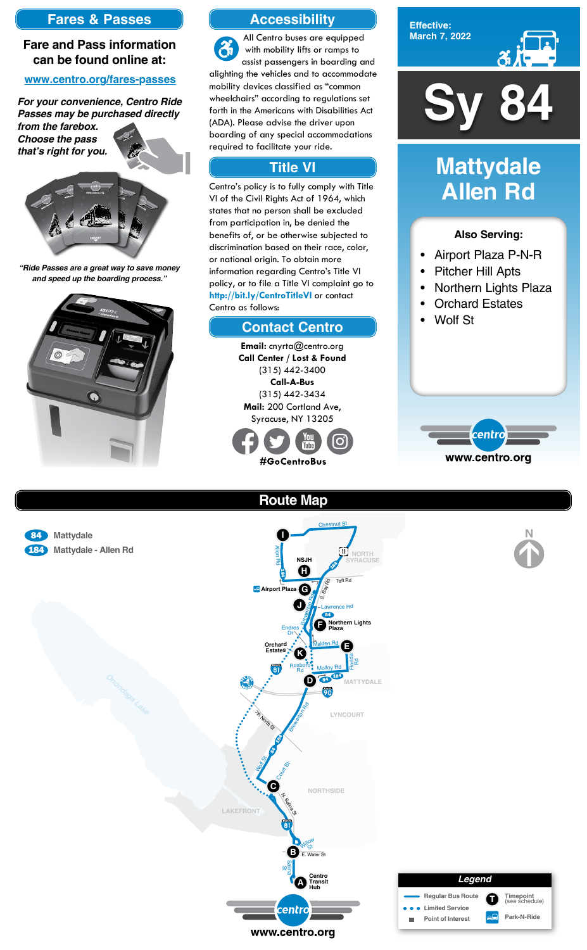

**Effective: March 7, 2022**



#### **Also Serving:**

- Airport Plaza P-N-R
- Pitcher Hill Apts
- Northern Lights Plaza
- Orchard Estates
- Wolf St



# **Mattydale Allen Rd**





**Park-N-Ride**

# **Accessibility**

# **Contact Centro**

# **Title VI**

**Email:** cnyrta@centro.org **Call Center / Lost & Found** (315) 442-3400 **Call-A-Bus** (315) 442-3434 **Mail:** 200 Cortland Ave, Syracuse, NY 13205



All Centro buses are equipped  $\mathfrak{F}$ with mobility lifts or ramps to assist passengers in boarding and alighting the vehicles and to accommodate mobility devices classified as "common wheelchairs" according to regulations set forth in the Americans with Disabilities Act (ADA). Please advise the driver upon boarding of any special accommodations required to facilitate your ride.

Centro's policy is to fully comply with Title VI of the Civil Rights Act of 1964, which states that no person shall be excluded from participation in, be denied the benefits of, or be otherwise subjected to discrimination based on their race, color, or national origin. To obtain more information regarding Centro's Title VI policy, or to file a Title VI complaint go to **http://bit.ly/CentroTitleVI** or contact Centro as follows:

### **Fares & Passes**

#### **Fare and Pass information can be found online at:**

#### **www.centro.org/fares-passes**

*"Ride Passes are a great way to save money and speed up the boarding process."*



*For your convenience, Centro Ride Passes may be purchased directly from the farebox.*

*Choose the pass that's right for you.*